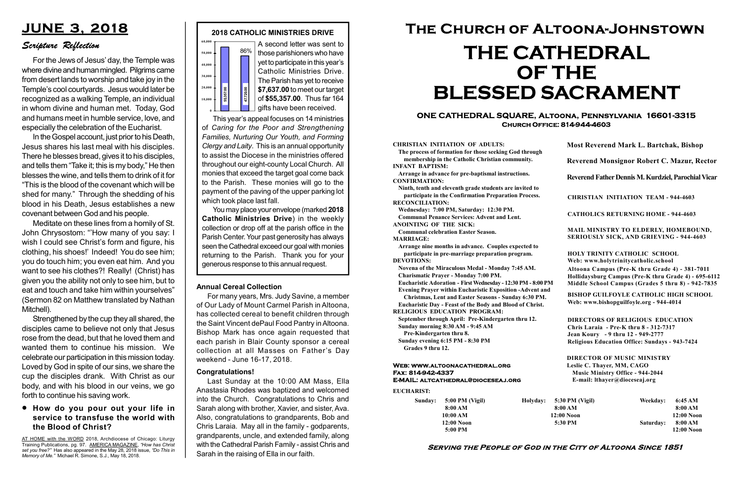#### Serving the People of God in the City of Altoona Since 1851

Sunday: 5:00 PM (Vigil) 8:00 AM 10:00 AM 12:00 Noon 5:00 PM

Holyday:

#### Web: www.altoonacathedral.org Fax: 814-942-4337 E-MAIL: altcathedral@dioceseaj.org

EUCHARIST:

#### CHRISTIAN INITIATION OF ADULTS:

The process of formation for those seeking God through membership in the Catholic Christian community. INFANT BAPTISM:

Arrange in advance for pre-baptismal instructions. CONFIRMATION:

Ninth, tenth and eleventh grade students are invited to participate in the Confirmation Preparation Process. RECONCILIATION:

Wednesday: 7:00 PM, Saturday: 12:30 PM. Communal Penance Services: Advent and Lent. ANOINTING OF THE SICK:

Communal celebration Easter Season. MARRIAGE:

Arrange nine months in advance. Couples expected to participate in pre-marriage preparation program. DEVOTIONS:

Novena of the Miraculous Medal - Monday 7:45 AM. Charismatic Prayer - Monday 7:00 PM.

Eucharistic Adoration - First Wednesday - 12:30 PM - 8:00 PM

Evening Prayer within Eucharistic Exposition -Advent and

Christmas, Lent and Easter Seasons - Sunday 6:30 PM. Eucharistic Day - Feast of the Body and Blood of Christ.

|                       | <b>Most Reverend Mark L. Bartchak, Bishop</b><br>Reverend Monsignor Robert C. Mazur, Rector                                                                                     |           |                         |
|-----------------------|---------------------------------------------------------------------------------------------------------------------------------------------------------------------------------|-----------|-------------------------|
|                       |                                                                                                                                                                                 |           |                         |
|                       | Reverend Father Dennis M. Kurdziel, Parochial Vicar                                                                                                                             |           |                         |
|                       | <b>CHRISTIAN INITIATION TEAM - 944-4603</b>                                                                                                                                     |           |                         |
|                       | <b>CATHOLICS RETURNING HOME - 944-4603</b>                                                                                                                                      |           |                         |
|                       | MAIL MINISTRY TO ELDERLY, HOMEBOUND,<br>SERIOUSLY SICK, AND GRIEVING - 944-4603                                                                                                 |           |                         |
|                       | <b>HOLY TRINITY CATHOLIC SCHOOL</b><br>Web: www.holytrinitycatholic.school                                                                                                      |           |                         |
| М                     | Altoona Campus (Pre-K thru Grade 4) - 381-7011<br>Hollidaysburg Campus (Pre-K thru Grade 4) - 695-6112<br>Middle School Campus (Grades 5 thru 8) - 942-7835                     |           |                         |
| ł                     | <b>BISHOP GUILFOYLE CATHOLIC HIGH SCHOOL</b><br>Web: www.bishopguilfoyle.org - 944-4014                                                                                         |           |                         |
|                       | <b>DIRECTORS OF RELIGIOUS EDUCATION</b><br>Chris Laraia - Pre-K thru 8 - 312-7317<br>Jean Koury - 9 thru 12 - 949-2777<br><b>Religious Education Office: Sundays - 943-7424</b> |           |                         |
|                       | <b>DIRECTOR OF MUSIC MINISTRY</b><br>Leslie C. Thayer, MM, CAGO<br><b>Music Ministry Office - 944-2044</b><br>E-mail: lthayer@dioceseaj.org                                     |           |                         |
| 5:30 PM (Vigil)       |                                                                                                                                                                                 | Weekday:  | 6:45 AM                 |
| 8:00 AM<br>12:00 Noon |                                                                                                                                                                                 |           | 8:00 AM<br>12:00 Noon   |
| 5:30 PM               |                                                                                                                                                                                 | Saturday: | 8:00 AM<br>$12:00$ Noon |
|                       |                                                                                                                                                                                 |           |                         |

RELIGIOUS EDUCATION PROGRAM:

September through April: Pre-Kindergarten thru 12. Sunday morning 8:30 AM - 9:45 AM



This year's appeal focuses on 14 ministries of Caring for the Poor and Strengthening Families, Nurturing Our Youth, and Forming Clergy and Laity. This is an annual opportunity to assist the Diocese in the ministries offered throughout our eight-county Local Church. All monies that exceed the target goal come back to the Parish. These monies will go to the payment of the paving of the upper parking lot which took place last fall. **Example 12.139.100** 10 meet our target<br>
10.000 10 meet our target<br>
of \$55,357.00. Thus far 164<br>
gifts have been received.<br>
This year's appeal focuses on 14 ministries<br>
of Caring for the Poor and Strengthening<br>
Families,

Pre-Kindergarten thru 8.

Sunday evening 6:15 PM - 8:30 PM Grades 9 thru 12.

#### ONE CATHEDRAL SQUARE, Altoona, Pennsylvania 16601-3315 Church Office: 814-944-4603

# The Church of Altoona-Johnstown THE CATHEDRAL OF THE BLESSED SACRAMENT

those parishioners who have yet to participate in this year's Catholic Ministries Drive. The Parish has yet to receive \$7,637.00 to meet our target of \$55,357.00. Thus far 164 gifts have been received.

You may place your envelope (marked 2018 Catholic Ministries Drive) in the weekly collection or drop off at the parish office in the Parish Center. Your past generosity has always seen the Cathedral exceed our goal with monies returning to the Parish. Thank you for your

#### Annual Cereal Collection

For many years, Mrs. Judy Savine, a member of Our Lady of Mount Carmel Parish in Altoona, has collected cereal to benefit children through the Saint Vincent dePaul Food Pantry in Altoona. Bishop Mark has once again requested that each parish in Blair County sponsor a cereal collection at all Masses on Father's Day weekend - June 16-17, 2018.

# JUNE 3, 2018

### Scripture Reflection

#### How do you pour out your life in service to transfuse the world with the Blood of Christ?

For the Jews of Jesus' day, the Temple was where divine and human mingled. Pilgrims came from desert lands to worship and take joy in the Temple's cool courtyards. Jesus would later be recognized as a walking Temple, an individual in whom divine and human met. Today, God and humans meet in humble service, love, and especially the celebration of the Eucharist.

In the Gospel account, just prior to his Death, Jesus shares his last meal with his disciples. There he blesses bread, gives it to his disciples, and tells them "Take it; this is my body," He then blesses the wine, and tells them to drink of it for "This is the blood of the covenant which will be shed for many." Through the shedding of his blood in his Death, Jesus establishes a new covenant between God and his people.

Meditate on these lines from a homily of St. John Chrysostom: "'How many of you say: I wish I could see Christ's form and figure, his clothing, his shoes!' Indeed! You do see him; you do touch him; you even eat him. And you want to see his clothes?! Really! (Christ) has given you the ability not only to see him, but to eat and touch and take him within yourselves" (Sermon 82 on Matthew translated by Nathan Mitchell).

Strengthened by the cup they all shared, the disciples came to believe not only that Jesus rose from the dead, but that he loved them and wanted them to continue his mission. We celebrate our participation in this mission today. Loved by God in spite of our sins, we share the cup the disciples drank. With Christ as our body, and with his blood in our veins, we go forth to continue his saving work.

#### Congratulations!

Last Sunday at the 10:00 AM Mass, Ella Anastasia Rhodes was baptized and welcomed into the Church. Congratulations to Chris and Sarah along with brother, Xavier, and sister, Ava. Also, congratulations to grandparents, Bob and Chris Laraia. May all in the family - godparents, grandparents, uncle, and extended family, along with the Cathedral Parish Family - assist Chris and Sarah in the raising of Ella in our faith.

AT HOME with the WORD 2018, Archdiocese of Chicago: Liturgy Training Publications, pg. 97. AMERICA MAGAZINE, "How has Christ set you free?" Has also appeared in the May 28, 2018 issue, "Do This in Memory of Me." Michael R. Simone, S.J., May 18, 2018.